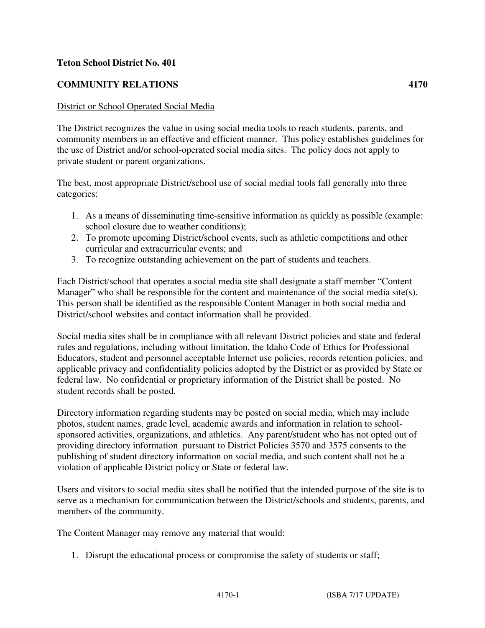## **Teton School District No. 401**

## **COMMUNITY RELATIONS 4170**

## District or School Operated Social Media

The District recognizes the value in using social media tools to reach students, parents, and community members in an effective and efficient manner. This policy establishes guidelines for the use of District and/or school-operated social media sites. The policy does not apply to private student or parent organizations.

The best, most appropriate District/school use of social medial tools fall generally into three categories:

- 1. As a means of disseminating time-sensitive information as quickly as possible (example: school closure due to weather conditions);
- 2. To promote upcoming District/school events, such as athletic competitions and other curricular and extracurricular events; and
- 3. To recognize outstanding achievement on the part of students and teachers.

Each District/school that operates a social media site shall designate a staff member "Content Manager" who shall be responsible for the content and maintenance of the social media site(s). This person shall be identified as the responsible Content Manager in both social media and District/school websites and contact information shall be provided.

Social media sites shall be in compliance with all relevant District policies and state and federal rules and regulations, including without limitation, the Idaho Code of Ethics for Professional Educators, student and personnel acceptable Internet use policies, records retention policies, and applicable privacy and confidentiality policies adopted by the District or as provided by State or federal law. No confidential or proprietary information of the District shall be posted. No student records shall be posted.

Directory information regarding students may be posted on social media, which may include photos, student names, grade level, academic awards and information in relation to schoolsponsored activities, organizations, and athletics. Any parent/student who has not opted out of providing directory information pursuant to District Policies 3570 and 3575 consents to the publishing of student directory information on social media, and such content shall not be a violation of applicable District policy or State or federal law.

Users and visitors to social media sites shall be notified that the intended purpose of the site is to serve as a mechanism for communication between the District/schools and students, parents, and members of the community.

The Content Manager may remove any material that would:

1. Disrupt the educational process or compromise the safety of students or staff;